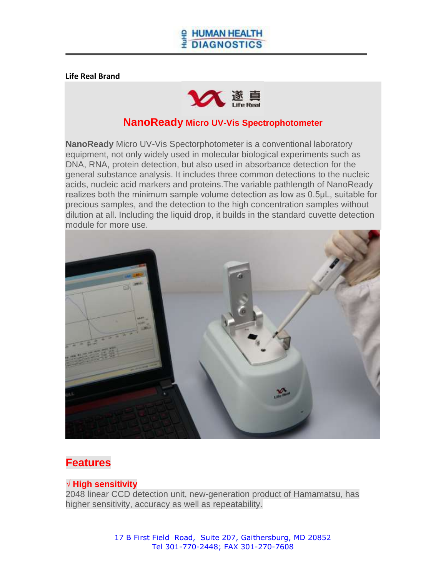

**Life Real Brand**



## **NanoReady Micro UV-Vis Spectrophotometer**

**NanoReady** Micro UV-Vis Spectorphotometer is a conventional laboratory equipment, not only widely used in molecular biological experiments such as DNA, RNA, protein detection, but also used in absorbance detection for the general substance analysis. It includes three common detections to the nucleic acids, nucleic acid markers and proteins.The variable pathlength of NanoReady realizes both the minimum sample volume detection as low as 0.5μL, suitable for precious samples, and the detection to the high concentration samples without dilution at all. Including the liquid drop, it builds in the standard cuvette detection module for more use.



# **Features**

### **√ High sensitivity**

2048 linear CCD detection unit, new-generation product of Hamamatsu, has higher sensitivity, accuracy as well as repeatability.

> 17 B First Field Road, Suite 207, Gaithersburg, MD 20852 Tel 301-770-2448; FAX 301-270-7608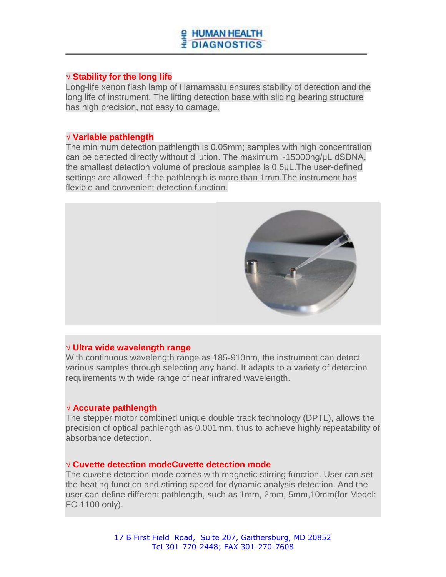## HUMAN HEALTH **E DIAGNOSTICS**

### **√ Stability for the long life**

Long-life xenon flash lamp of Hamamastu ensures stability of detection and the long life of instrument. The lifting detection base with sliding bearing structure has high precision, not easy to damage.

#### **√ Variable pathlength**

The minimum detection pathlength is 0.05mm; samples with high concentration can be detected directly without dilution. The maximum ~15000ng/μL dSDNA, the smallest detection volume of precious samples is 0.5μL.The user-defined settings are allowed if the pathlength is more than 1mm.The instrument has flexible and convenient detection function.



### **√ Ultra wide wavelength range**

With continuous wavelength range as 185-910nm, the instrument can detect various samples through selecting any band. It adapts to a variety of detection requirements with wide range of near infrared wavelength.

### **√ Accurate pathlength**

The stepper motor combined unique double track technology (DPTL), allows the precision of optical pathlength as 0.001mm, thus to achieve highly repeatability of absorbance detection.

### **√ Cuvette detection modeCuvette detection mode**

The cuvette detection mode comes with magnetic stirring function. User can set the heating function and stirring speed for dynamic analysis detection. And the user can define different pathlength, such as 1mm, 2mm, 5mm,10mm(for Model: FC-1100 only).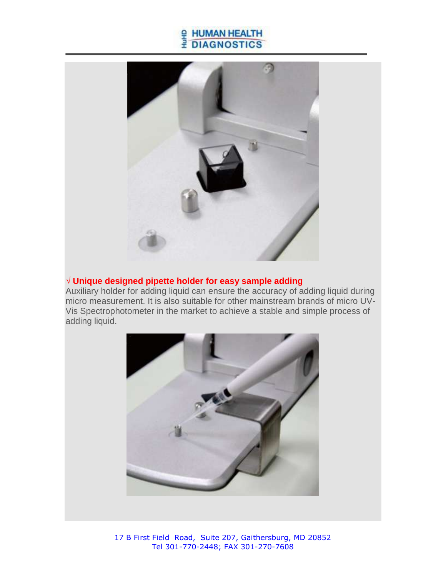



### **√ Unique designed pipette holder for easy sample adding**

Auxiliary holder for adding liquid can ensure the accuracy of adding liquid during micro measurement. It is also suitable for other mainstream brands of micro UV-Vis Spectrophotometer in the market to achieve a stable and simple process of adding liquid.



17 B First Field Road, Suite 207, Gaithersburg, MD 20852 Tel 301-770-2448; FAX 301-270-7608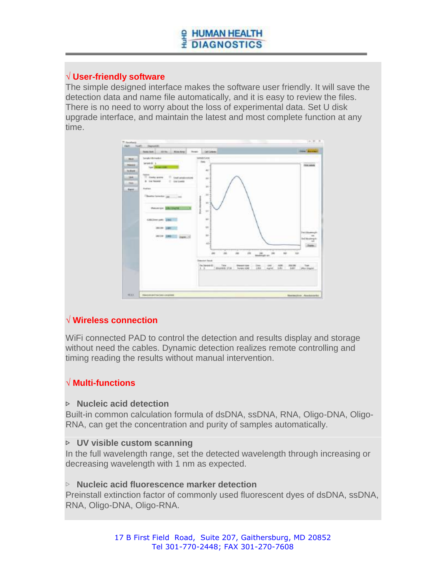## HUMAN HEALTH **E DIAGNOSTICS**

### **√ User-friendly software**

The simple designed interface makes the software user friendly. It will save the detection data and name file automatically, and it is easy to review the files. There is no need to worry about the loss of experimental data. Set U disk upgrade interface, and maintain the latest and most complete function at any time.



## **√ Wireless connection**

WiFi connected PAD to control the detection and results display and storage without need the cables. Dynamic detection realizes remote controlling and timing reading the results without manual intervention.

## **√ Multi-functions**

### ▷ **Nucleic acid detection**

Built-in common calculation formula of dsDNA, ssDNA, RNA, Oligo-DNA, Oligo-RNA, can get the concentration and purity of samples automatically.

### ▷ **UV visible custom scanning**

In the full wavelength range, set the detected wavelength through increasing or decreasing wavelength with 1 nm as expected.

### ▷ **Nucleic acid fluorescence marker detection**

Preinstall extinction factor of commonly used fluorescent dyes of dsDNA, ssDNA, RNA, Oligo-DNA, Oligo-RNA.